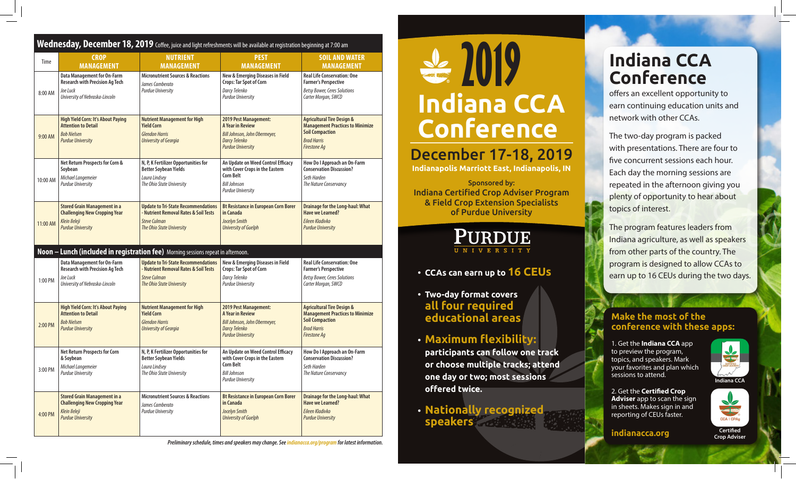## **Wednesday, December 18, 2019** Coffee, juice and light refreshments will be available at registration beginning at 7:00 am

| Time     | <b>CROP</b>                                                                                                                                                                                                                                                                                                                                                                                                                                                                                                    | <b>NUTRIENT</b>                                                                                                                         | <b>PEST</b><br><b>MANAGEMENT</b>                                                                                                             | <b>SOIL AND WATER</b><br><b>MANAGEMENT</b>                                                                                                              |  |
|----------|----------------------------------------------------------------------------------------------------------------------------------------------------------------------------------------------------------------------------------------------------------------------------------------------------------------------------------------------------------------------------------------------------------------------------------------------------------------------------------------------------------------|-----------------------------------------------------------------------------------------------------------------------------------------|----------------------------------------------------------------------------------------------------------------------------------------------|---------------------------------------------------------------------------------------------------------------------------------------------------------|--|
| 8:00 AM  | <b>MANAGEMENT</b><br><b>MANAGEMENT</b><br><b>Data Management for On-Farm</b><br><b>Micronutrient Sources &amp; Reactions</b><br><b>Research with Precision Ag Tech</b><br>James Camberato<br>Joe Luck<br><b>Purdue University</b><br>University of Nebraska-Lincoln<br><b>Nutrient Management for High</b><br>High Yield Corn: It's About Paying<br><b>Attention to Detail</b><br><b>Yield Corn</b><br><b>Bob Nielsen</b><br><b>Glendon Harris</b><br><b>Purdue University</b><br><b>University of Georgia</b> |                                                                                                                                         | New & Emerging Diseases in Field<br>Crops: Tar Spot of Corn<br>Darcy Telenko<br><b>Purdue University</b>                                     | <b>Real Life Conservation: One</b><br><b>Farmer's Perspective</b><br><b>Betsy Bower, Ceres Solutions</b><br>Carter Morgan, SWCD                         |  |
| 9:00 AM  |                                                                                                                                                                                                                                                                                                                                                                                                                                                                                                                |                                                                                                                                         | 2019 Pest Management:<br>A Year in Review<br>Bill Johnson, John Obermeyer,<br><b>Darcy Telenko</b><br><b>Purdue University</b>               | <b>Agricultural Tire Design &amp;</b><br><b>Management Practices to Minimize</b><br><b>Soil Compaction</b><br><b>Brad Harris</b><br><b>Firestone Aq</b> |  |
| 10:00 AM | Net Return Prospects for Corn &<br>Soybean<br>Michael Langemeier<br><b>Purdue University</b>                                                                                                                                                                                                                                                                                                                                                                                                                   | N, P, K Fertilizer Opportunities for<br><b>Better Soybean Yields</b><br>Laura Lindsey<br>The Ohio State University                      |                                                                                                                                              | How Do I Approach an On-Farm<br><b>Conservation Discussion?</b><br>Seth Harden<br>The Nature Conservancy                                                |  |
| 11:00 AM | <b>Stored Grain Management in a</b><br><b>Update to Tri-State Recommendations</b><br><b>Challenging New Cropping Year</b><br>- Nutrient Removal Rates & Soil Tests<br>Klein Ileleji<br><b>Steve Culman</b><br><b>Purdue University</b><br>The Ohio State University                                                                                                                                                                                                                                            |                                                                                                                                         | <b>Bt Resistance in European Corn Borer</b><br>in Canada<br>Jocelyn Smith<br><b>University of Guelph</b>                                     | <b>Drainage for the Long-haul: What</b><br><b>Have we Learned?</b><br>Eileen Kladivko<br><b>Purdue University</b>                                       |  |
|          |                                                                                                                                                                                                                                                                                                                                                                                                                                                                                                                | Noon - Lunch (included in registration fee) Morning sessions repeat in afternoon.                                                       |                                                                                                                                              |                                                                                                                                                         |  |
| 1:00 PM  | <b>Data Management for On-Farm</b><br><b>Research with Precision Ag Tech</b><br>Joe Luck<br>University of Nebraska-Lincoln                                                                                                                                                                                                                                                                                                                                                                                     | <b>Update to Tri-State Recommendations</b><br>- Nutrient Removal Rates & Soil Tests<br><b>Steve Culman</b><br>The Ohio State University | New & Emerging Diseases in Field<br>Crops: Tar Spot of Corn<br>Darcy Telenko<br><b>Purdue University</b>                                     | <b>Real Life Conservation: One</b><br><b>Farmer's Perspective</b><br><b>Betsy Bower, Ceres Solutions</b><br>Carter Morgan, SWCD                         |  |
| 2:00 PM  | <b>High Yield Corn: It's About Paying</b><br><b>Nutrient Management for High</b><br><b>Yield Corn</b><br><b>Attention to Detail</b><br><b>Bob Nielsen</b><br><b>Glendon Harris</b><br><b>Purdue University</b><br><b>University of Georgia</b>                                                                                                                                                                                                                                                                 |                                                                                                                                         | 2019 Pest Management:<br><b>A Year in Review</b><br>Bill Johnson, John Obermeyer,<br><b>Darcy Telenko</b><br><b>Purdue University</b>        | <b>Agricultural Tire Design &amp;</b><br><b>Management Practices to Minimize</b><br><b>Soil Compaction</b><br><b>Brad Harris</b><br><b>Firestone Aq</b> |  |
| 3:00 PM  | <b>Net Return Prospects for Corn</b><br>& Soybean<br>Michael Lanaemeier<br><b>Purdue University</b>                                                                                                                                                                                                                                                                                                                                                                                                            | N, P, K Fertilizer Opportunities for<br><b>Better Soybean Yields</b><br>Laura Lindsey<br>The Ohio State University                      | An Update on Weed Control Efficacy<br>with Cover Crops in the Eastern<br><b>Corn Belt</b><br><b>Bill Johnson</b><br><b>Purdue University</b> | How Do I Approach an On-Farm<br><b>Conservation Discussion?</b><br>Seth Harden<br>The Nature Conservancy                                                |  |
| 4:00 PM  | <b>Stored Grain Management in a</b><br><b>Challenging New Cropping Year</b><br>Klein Ileleji<br><b>Purdue University</b>                                                                                                                                                                                                                                                                                                                                                                                       | <b>Micronutrient Sources &amp; Reactions</b><br>James Camberato<br><b>Purdue University</b>                                             | <b>Bt Resistance in European Corn Borer</b><br>in Canada<br>Jocelyn Smith<br><b>University of Guelph</b>                                     | <b>Drainage for the Long-haul: What</b><br><b>Have we Learned?</b><br>Eileen Kladivko<br><b>Purdue University</b>                                       |  |

*Preliminary schedule, times and speakers may change. See indianacca.org/program for latest information.*

# **Indiana CCA Conference 2019**

# December 17-18, 2019

**Indianapolis Marriott East, Indianapolis, IN**

Sponsored by: Indiana Certified Crop Adviser Program & Field Crop Extension Specialists of Purdue University



# **• CCAs can earn up to 16 CEUs**

- **Two-day format covers all four required educational areas**
- **Maximum flexibility: participants can follow one track or choose multiple tracks; attend one day or two; most sessions offered twice.**
- **Nationally recognized speakers**

# **Indiana CCA Conference**

offers an excellent opportunity to earn continuing education units and network with other CCAs.

The two-day program is packed with presentations. There are four to five concurrent sessions each hour. Each day the morning sessions are repeated in the afternoon giving you plenty of opportunity to hear about topics of interest.

The program features leaders from Indiana agriculture, as well as speakers from other parts of the country. The program is designed to allow CCAs to earn up to 16 CEUs during the two days.

## **Make the most of the conference with these apps:**

1. Get the **Indiana CCA** app to preview the program, topics, and speakers. Mark your favorites and plan which sessions to attend.



 $\blacktriangleright$ 

CCA | CPAg

2. Get the **Certified Crop Adviser** app to scan the sign in sheets. Makes sign in and reporting of CEUs faster.

**indianacca.org**

**Certified Crop Adviser**